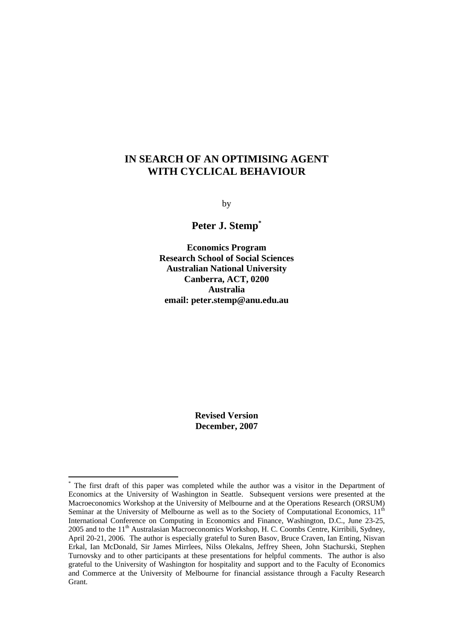# **IN SEARCH OF AN OPTIMISING AGENT WITH CYCLICAL BEHAVIOUR**

by

**Peter J. Stem[p\\*](#page-0-0)**

**Economics Program Research School of Social Sciences Australian National University Canberra, ACT, 0200 Australia email: peter.stemp@anu.edu.au** 

> **Revised Version December, 2007**

 $\overline{a}$ 

<span id="page-0-0"></span><sup>\*</sup> The first draft of this paper was completed while the author was a visitor in the Department of Economics at the University of Washington in Seattle. Subsequent versions were presented at the Macroeconomics Workshop at the University of Melbourne and at the Operations Research (ORSUM) Seminar at the University of Melbourne as well as to the Society of Computational Economics,  $11<sup>th</sup>$ International Conference on Computing in Economics and Finance, Washington, D.C., June 23-25, 2005 and to the 11<sup>th</sup> Australasian Macroeconomics Workshop, H. C. Coombs Centre, Kirribili, Sydney, April 20-21, 2006. The author is especially grateful to Suren Basov, Bruce Craven, Ian Enting, Nisvan Erkal, Ian McDonald, Sir James Mirrlees, Nilss Olekalns, Jeffrey Sheen, John Stachurski, Stephen Turnovsky and to other participants at these presentations for helpful comments. The author is also grateful to the University of Washington for hospitality and support and to the Faculty of Economics and Commerce at the University of Melbourne for financial assistance through a Faculty Research Grant.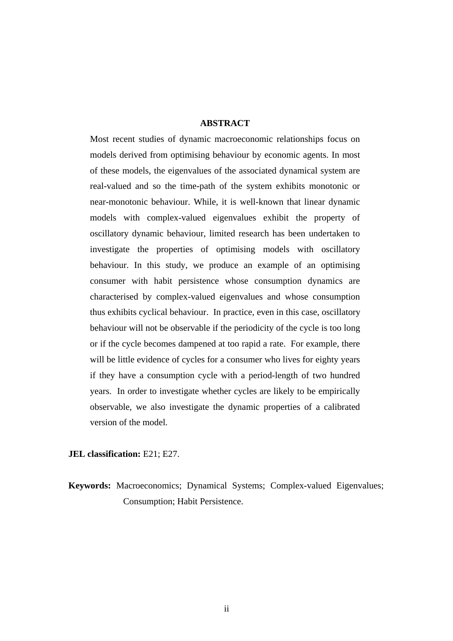## **ABSTRACT**

Most recent studies of dynamic macroeconomic relationships focus on models derived from optimising behaviour by economic agents. In most of these models, the eigenvalues of the associated dynamical system are real-valued and so the time-path of the system exhibits monotonic or near-monotonic behaviour. While, it is well-known that linear dynamic models with complex-valued eigenvalues exhibit the property of oscillatory dynamic behaviour, limited research has been undertaken to investigate the properties of optimising models with oscillatory behaviour. In this study, we produce an example of an optimising consumer with habit persistence whose consumption dynamics are characterised by complex-valued eigenvalues and whose consumption thus exhibits cyclical behaviour. In practice, even in this case, oscillatory behaviour will not be observable if the periodicity of the cycle is too long or if the cycle becomes dampened at too rapid a rate. For example, there will be little evidence of cycles for a consumer who lives for eighty years if they have a consumption cycle with a period-length of two hundred years. In order to investigate whether cycles are likely to be empirically observable, we also investigate the dynamic properties of a calibrated version of the model.

### **JEL classification:** E21; E27.

**Keywords:** Macroeconomics; Dynamical Systems; Complex-valued Eigenvalues; Consumption; Habit Persistence.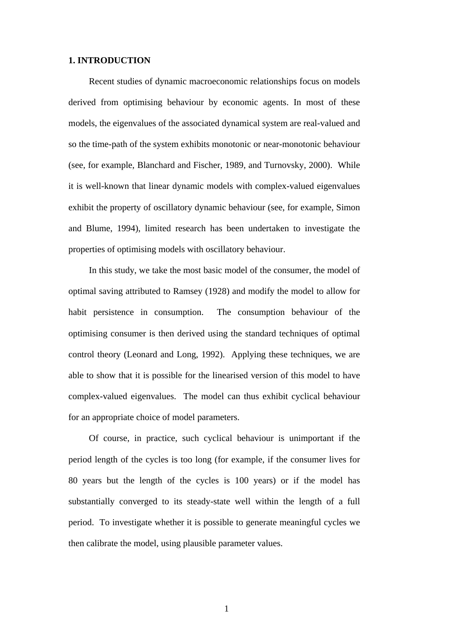### **1. INTRODUCTION**

Recent studies of dynamic macroeconomic relationships focus on models derived from optimising behaviour by economic agents. In most of these models, the eigenvalues of the associated dynamical system are real-valued and so the time-path of the system exhibits monotonic or near-monotonic behaviour (see, for example, Blanchard and Fischer, 1989, and Turnovsky, 2000). While it is well-known that linear dynamic models with complex-valued eigenvalues exhibit the property of oscillatory dynamic behaviour (see, for example, Simon and Blume, 1994), limited research has been undertaken to investigate the properties of optimising models with oscillatory behaviour.

In this study, we take the most basic model of the consumer, the model of optimal saving attributed to Ramsey (1928) and modify the model to allow for habit persistence in consumption. The consumption behaviour of the optimising consumer is then derived using the standard techniques of optimal control theory (Leonard and Long, 1992). Applying these techniques, we are able to show that it is possible for the linearised version of this model to have complex-valued eigenvalues. The model can thus exhibit cyclical behaviour for an appropriate choice of model parameters.

Of course, in practice, such cyclical behaviour is unimportant if the period length of the cycles is too long (for example, if the consumer lives for 80 years but the length of the cycles is 100 years) or if the model has substantially converged to its steady-state well within the length of a full period. To investigate whether it is possible to generate meaningful cycles we then calibrate the model, using plausible parameter values.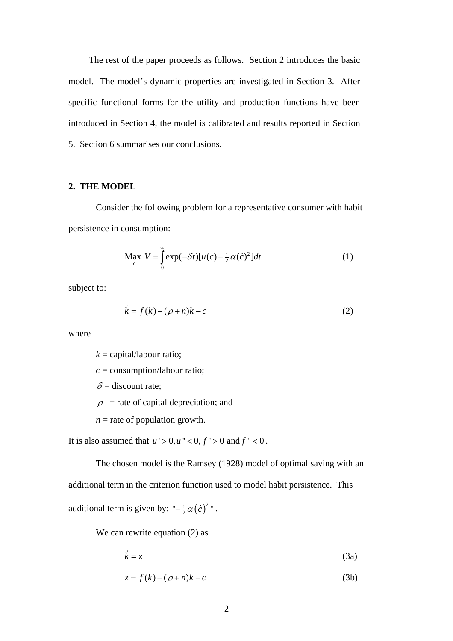The rest of the paper proceeds as follows. Section 2 introduces the basic model. The model's dynamic properties are investigated in Section 3. After specific functional forms for the utility and production functions have been introduced in Section 4, the model is calibrated and results reported in Section 5. Section 6 summarises our conclusions.

### **2. THE MODEL**

Consider the following problem for a representative consumer with habit persistence in consumption:

$$
\operatorname*{Max}_{c} V = \int_{0}^{\infty} \exp(-\delta t) [u(c) - \frac{1}{2} \alpha(\dot{c})^{2}] dt
$$
 (1)

subject to:

$$
\dot{k} = f(k) - (\rho + n)k - c \tag{2}
$$

where

 $k =$  capital/labour ratio;

*c* = consumption/labour ratio;

 $\delta$  = discount rate;

 $\rho$  = rate of capital depreciation; and

 $n =$  rate of population growth.

It is also assumed that  $u' > 0, u'' < 0, f' > 0$  and  $f'' < 0$ .

The chosen model is the Ramsey (1928) model of optimal saving with an additional term in the criterion function used to model habit persistence. This additional term is given by: " $-\frac{1}{2}\alpha(\dot{c})^2$ ".

We can rewrite equation (2) as

$$
\dot{k} = z \tag{3a}
$$

$$
z = f(k) - (\rho + n)k - c \tag{3b}
$$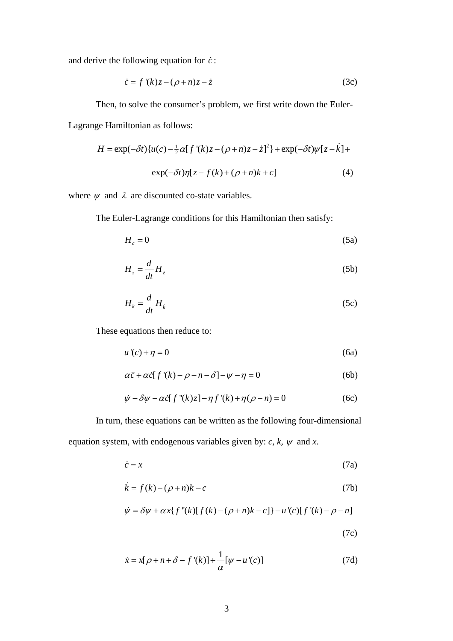and derive the following equation for *c*:

$$
\dot{c} = f'(k)z - (\rho + n)z - \dot{z} \tag{3c}
$$

Then, to solve the consumer's problem, we first write down the Euler-Lagrange Hamiltonian as follows:

$$
H = \exp(-\delta t)\{u(c) - \frac{1}{2}\alpha[f'(k)z - (\rho + n)z - \dot{z}]^2\} + \exp(-\delta t)\psi[z - \dot{k}]+\exp(-\delta t)\eta[z - f(k) + (\rho + n)k + c]
$$
\n(4)

where  $\psi$  and  $\lambda$  are discounted co-state variables.

The Euler-Lagrange conditions for this Hamiltonian then satisfy:

$$
H_c = 0 \tag{5a}
$$

$$
H_z = \frac{d}{dt} H_z \tag{5b}
$$

$$
H_k = \frac{d}{dt} H_k \tag{5c}
$$

These equations then reduce to:

$$
u'(c) + \eta = 0 \tag{6a}
$$

$$
\alpha \ddot{c} + \alpha \dot{c} [f'(k) - \rho - n - \delta] - \psi - \eta = 0 \tag{6b}
$$

$$
\dot{\psi} - \delta \psi - \alpha \dot{c} [f''(k)z] - \eta f'(k) + \eta (\rho + n) = 0 \tag{6c}
$$

In turn, these equations can be written as the following four-dimensional equation system, with endogenous variables given by:  $c, k, \psi$  and  $x$ .

$$
\dot{c} = x \tag{7a}
$$

$$
\dot{k} = f(k) - (\rho + n)k - c \tag{7b}
$$

$$
\dot{\psi} = \delta \psi + \alpha x \{ f''(k) [f(k) - (\rho + n)k - c] \} - u'(c) [f'(k) - \rho - n]
$$
\n(7c)

$$
\dot{x} = x[\rho + n + \delta - f'(k)] + \frac{1}{\alpha}[\psi - u'(c)]
$$
\n(7d)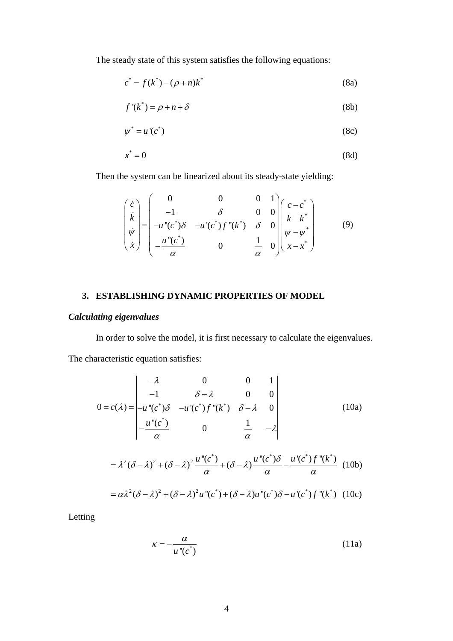The steady state of this system satisfies the following equations:

$$
c^* = f(k^*) - (\rho + n)k^* \tag{8a}
$$

$$
f'(k^*) = \rho + n + \delta \tag{8b}
$$

$$
\psi^* = u'(c^*)\tag{8c}
$$

$$
x^* = 0 \tag{8d}
$$

Then the system can be linearized about its steady-state yielding:

$$
\begin{pmatrix}\n\dot{c} \\
\dot{k} \\
\dot{\psi} \\
\dot{x}\n\end{pmatrix} = \begin{pmatrix}\n0 & 0 & 0 & 1 \\
-1 & \delta & 0 & 0 \\
-u''(c^*)\delta & -u'(c^*)f''(k^*) & \delta & 0 \\
-\frac{u''(c^*)}{\alpha} & 0 & \frac{1}{\alpha} & 0\n\end{pmatrix} \begin{pmatrix}\nc - c^* \\
k - k^* \\
\psi - \psi^* \\
x - x^*\n\end{pmatrix}
$$
\n(9)

## **3. ESTABLISHING DYNAMIC PROPERTIES OF MODEL**

# *Calculating eigenvalues*

In order to solve the model, it is first necessary to calculate the eigenvalues. The characteristic equation satisfies:

$$
0 = c(\lambda) = \begin{vmatrix} -\lambda & 0 & 0 & 1 \\ -1 & \delta - \lambda & 0 & 0 \\ -u \cdot (c^*)\delta & -u'(c^*)f \cdot (k^*) & \delta - \lambda & 0 \\ -\frac{u \cdot (c^*)}{\alpha} & 0 & \frac{1}{\alpha} & -\lambda \end{vmatrix}
$$
(10a)  
=  $\lambda^2 (\delta - \lambda)^2 + (\delta - \lambda)^2 \frac{u \cdot (c^*)}{\alpha} + (\delta - \lambda) \frac{u \cdot (c^*)\delta}{\alpha} - \frac{u'(c^*)f \cdot (k^*)}{\alpha} \quad (10b)$   
=  $\alpha \lambda^2 (\delta - \lambda)^2 + (\delta - \lambda)^2 u \cdot (c^*) + (\delta - \lambda) u \cdot (c^*) \delta - u'(c^*) f \cdot (k^*) \quad (10c)$ 

Letting

$$
\kappa = -\frac{\alpha}{u''(c^*)} \tag{11a}
$$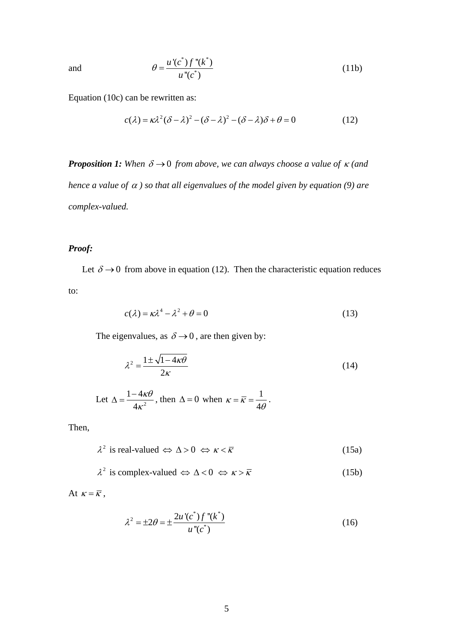and

$$
\theta = \frac{u'(c^*) f''(k^*)}{u''(c^*)}
$$
\n(11b)

Equation (10c) can be rewritten as:

$$
c(\lambda) = \kappa \lambda^2 (\delta - \lambda)^2 - (\delta - \lambda)^2 - (\delta - \lambda)\delta + \theta = 0
$$
 (12)

*Proposition 1:* When  $\delta \rightarrow 0$  from above, we can always choose a value of  $\kappa$  (and *hence a value of*  <sup>α</sup> *) so that all eigenvalues of the model given by equation (9) are complex-valued.* 

# *Proof:*

Let  $\delta \rightarrow 0$  from above in equation (12). Then the characteristic equation reduces to:

$$
c(\lambda) = \kappa \lambda^4 - \lambda^2 + \theta = 0 \tag{13}
$$

The eigenvalues, as  $\delta \rightarrow 0$ , are then given by:

$$
\lambda^2 = \frac{1 \pm \sqrt{1 - 4\kappa \theta}}{2\kappa} \tag{14}
$$

Let 
$$
\Delta = \frac{1 - 4\kappa\theta}{4\kappa^2}
$$
, then  $\Delta = 0$  when  $\kappa = \overline{\kappa} = \frac{1}{4\theta}$ .

Then,

$$
\lambda^2 \text{ is real-valued } \Leftrightarrow \Delta > 0 \Leftrightarrow \kappa < \overline{\kappa} \tag{15a}
$$

$$
\lambda^2 \text{ is complex-valued } \Leftrightarrow \Delta < 0 \Leftrightarrow \kappa > \overline{\kappa} \tag{15b}
$$

At  $\kappa = \overline{\kappa}$ ,

$$
\lambda^{2} = \pm 2\theta = \pm \frac{2u'(c^{*})f''(k^{*})}{u''(c^{*})}
$$
\n(16)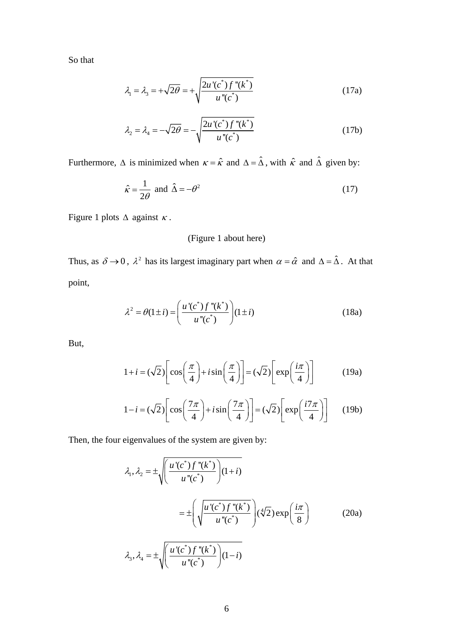So that

$$
\lambda_1 = \lambda_3 = +\sqrt{2\theta} = +\sqrt{\frac{2u'(c^*)f''(k^*)}{u''(c^*)}}
$$
(17a)

$$
\lambda_2 = \lambda_4 = -\sqrt{2\theta} = -\sqrt{\frac{2u'(c^*)f''(k^*)}{u''(c^*)}}
$$
(17b)

Furthermore,  $\Delta$  is minimized when  $\kappa = \hat{\kappa}$  and  $\Delta = \hat{\Delta}$ , with  $\hat{\kappa}$  and  $\hat{\Delta}$  given by:

$$
\hat{\kappa} = \frac{1}{2\theta} \text{ and } \hat{\Delta} = -\theta^2 \tag{17}
$$

Figure 1 plots  $\triangle$  against  $\kappa$ .

# (Figure 1 about here)

Thus, as  $\delta \to 0$ ,  $\lambda^2$  has its largest imaginary part when  $\alpha = \hat{\alpha}$  and  $\Delta = \hat{\Delta}$ . At that point,

$$
\lambda^{2} = \theta(1 \pm i) = \left(\frac{u'(c^{*}) f''(k^{*})}{u''(c^{*})}\right)(1 \pm i)
$$
\n(18a)

But,

$$
1 + i = (\sqrt{2}) \left[ \cos \left( \frac{\pi}{4} \right) + i \sin \left( \frac{\pi}{4} \right) \right] = (\sqrt{2}) \left[ \exp \left( \frac{i \pi}{4} \right) \right] \tag{19a}
$$

$$
1 - i = (\sqrt{2}) \left[ \cos \left( \frac{7\pi}{4} \right) + i \sin \left( \frac{7\pi}{4} \right) \right] = (\sqrt{2}) \left[ \exp \left( \frac{i7\pi}{4} \right) \right] \tag{19b}
$$

Then, the four eigenvalues of the system are given by:

$$
\lambda_1, \lambda_2 = \pm \sqrt{\left(\frac{u'(c^*) f''(k^*)}{u''(c^*)}\right)(1+i)}
$$

$$
= \pm \left(\sqrt{\frac{u'(c^*) f''(k^*)}{u''(c^*)}}\right)(\sqrt[4]{2}) \exp\left(\frac{i\pi}{8}\right) \tag{20a}
$$

$$
\lambda_3, \lambda_4 = \pm \sqrt{\left(\frac{u'(c^*) f''(k^*)}{u''(c^*)}\right)(1-i)}
$$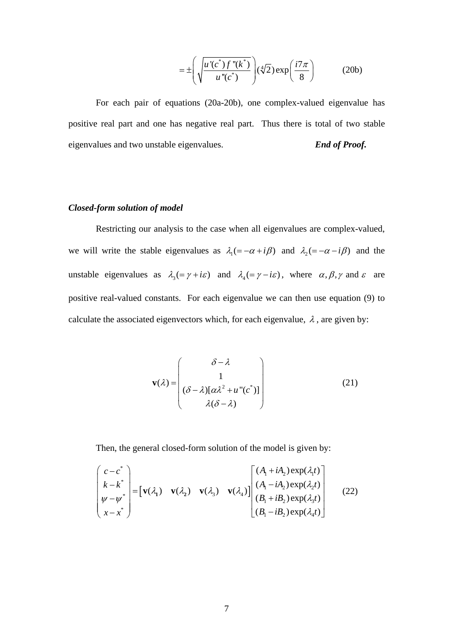$$
= \pm \left( \sqrt{\frac{u'(c^*) f''(k^*)}{u''(c^*)}} \right) (\sqrt[4]{2}) \exp\left(\frac{i7\pi}{8}\right) \tag{20b}
$$

For each pair of equations (20a-20b), one complex-valued eigenvalue has positive real part and one has negative real part. Thus there is total of two stable eigenvalues and two unstable eigenvalues. *End of Proof.* 

## *Closed-form solution of model*

Restricting our analysis to the case when all eigenvalues are complex-valued, we will write the stable eigenvalues as  $\lambda_1 (= -\alpha + i\beta)$  and  $\lambda_2 (= -\alpha - i\beta)$  and the unstable eigenvalues as  $\lambda_3 = \gamma + i\varepsilon$  and  $\lambda_4 = \gamma - i\varepsilon$ , where  $\alpha, \beta, \gamma$  and  $\varepsilon$  are positive real-valued constants. For each eigenvalue we can then use equation (9) to calculate the associated eigenvectors which, for each eigenvalue,  $\lambda$ , are given by:

$$
\mathbf{v}(\lambda) = \begin{pmatrix} \delta - \lambda \\ 1 \\ (\delta - \lambda)[\alpha \lambda^2 + u''(c^*)] \\ \lambda(\delta - \lambda) \end{pmatrix}
$$
 (21)

Then, the general closed-form solution of the model is given by:

$$
\begin{pmatrix}\nc - c^* \\
k - k^* \\
\psi - \psi^* \\
x - x^*\n\end{pmatrix} = \begin{bmatrix}\nv(\lambda_1) & v(\lambda_2) & v(\lambda_3) & v(\lambda_4)\n\end{bmatrix} \begin{bmatrix}\n(A_1 + iA_2) \exp(\lambda_1 t) \\
(A_1 - iA_2) \exp(\lambda_2 t) \\
(B_1 + iB_2) \exp(\lambda_3 t) \\
(B_1 - iB_2) \exp(\lambda_4 t)\n\end{bmatrix}
$$
\n(22)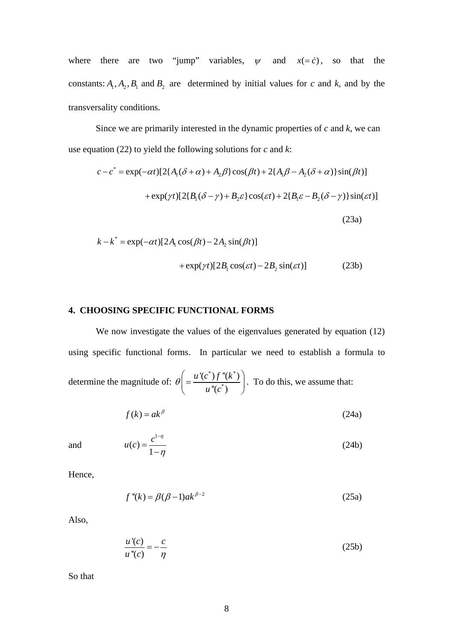where there are two "jump" variables,  $\psi$  and  $x(=\dot{c})$ , so that the constants:  $A_1$ ,  $A_2$ ,  $B_1$  and  $B_2$  are determined by initial values for *c* and *k*, and by the transversality conditions.

Since we are primarily interested in the dynamic properties of *c* and *k*, we can use equation (22) to yield the following solutions for *c* and *k*:

$$
c - c^* = \exp(-\alpha t)[2\{A_1(\delta + \alpha) + A_2\beta\}\cos(\beta t) + 2\{A_1\beta - A_2(\delta + \alpha)\}\sin(\beta t)]
$$

$$
+ \exp(\gamma t)[2\{B_1(\delta - \gamma) + B_2\varepsilon\}\cos(\varepsilon t) + 2\{B_1\varepsilon - B_2(\delta - \gamma)\}\sin(\varepsilon t)]
$$
(23a)

$$
k - k^* = \exp(-\alpha t)[2A_1 \cos(\beta t) - 2A_2 \sin(\beta t)]
$$
  
+ 
$$
\exp(\gamma t)[2B_1 \cos(\varepsilon t) - 2B_2 \sin(\varepsilon t)]
$$
 (23b)

## **4. CHOOSING SPECIFIC FUNCTIONAL FORMS**

We now investigate the values of the eigenvalues generated by equation (12) using specific functional forms. In particular we need to establish a formula to determine the magnitude of: \*  $\chi$   $\mu$   $\mu^*$ \* '(c $^{\ast})f$  "(k $^{\ast})$  $\H(c^*)$ *u* '(c<sup>\*</sup>)  $f$  "(k  $u$ <sup>"</sup> $(c)$  $\theta\bigg(=\frac{u'(c^*)f''(k^*)}{\prod_{i=1}^{n}(c^*)}$  $\left( = \frac{a \cdot (C') f'(\kappa')}{u''(c^*)} \right)$ . To do this, we assume that:

$$
f(k) = ak^{\beta} \tag{24a}
$$

and

$$
u(c) = \frac{c^{1-\eta}}{1-\eta}
$$
\n(24b)

Hence,

$$
f''(k) = \beta(\beta - 1)ak^{\beta - 2}
$$
\n(25a)

Also,

$$
\frac{u'(c)}{u''(c)} = -\frac{c}{\eta}
$$
\n(25b)

So that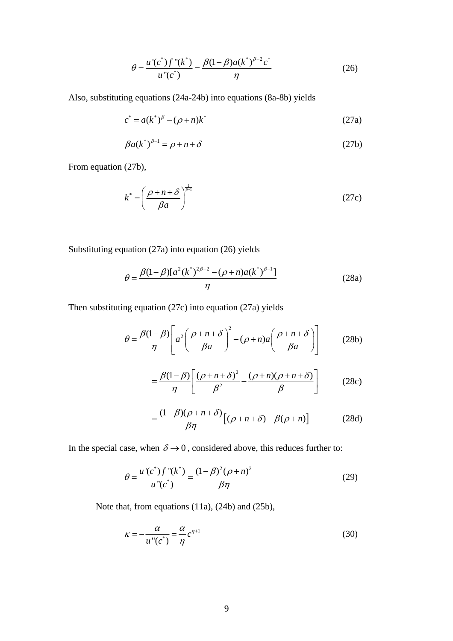$$
\theta = \frac{u'(c^*) f''(k^*)}{u''(c^*)} = \frac{\beta(1-\beta)a(k^*)^{\beta-2}c^*}{\eta}
$$
\n(26)

Also, substituting equations (24a-24b) into equations (8a-8b) yields

$$
c^* = a(k^*)^{\beta} - (\rho + n)k^* \tag{27a}
$$

$$
\beta a(k^*)^{\beta - 1} = \rho + n + \delta \tag{27b}
$$

From equation (27b),

$$
k^* = \left(\frac{\rho + n + \delta}{\beta a}\right)^{\frac{1}{\beta - 1}}
$$
 (27c)

Substituting equation (27a) into equation (26) yields

$$
\theta = \frac{\beta(1-\beta)[a^2(k^*)^{2\beta-2} - (\rho+n)a(k^*)^{\beta-1}]}{\eta}
$$
\n(28a)

Then substituting equation (27c) into equation (27a) yields

$$
\theta = \frac{\beta(1-\beta)}{\eta} \left[ a^2 \left( \frac{\rho + n + \delta}{\beta a} \right)^2 - (\rho + n)a \left( \frac{\rho + n + \delta}{\beta a} \right) \right]
$$
 (28b)

$$
= \frac{\beta(1-\beta)}{\eta} \left[ \frac{(\rho+n+\delta)^2}{\beta^2} - \frac{(\rho+n)(\rho+n+\delta)}{\beta} \right]
$$
 (28c)

$$
=\frac{(1-\beta)(\rho+n+\delta)}{\beta\eta}\big[(\rho+n+\delta)-\beta(\rho+n)\big]
$$
 (28d)

In the special case, when  $\delta \rightarrow 0$ , considered above, this reduces further to:

$$
\theta = \frac{u'(c^*) f''(k^*)}{u''(c^*)} = \frac{(1-\beta)^2 (\rho+n)^2}{\beta \eta}
$$
\n(29)

Note that, from equations (11a), (24b) and (25b),

$$
\kappa = -\frac{\alpha}{u''(c^*)} = \frac{\alpha}{\eta} c^{\eta+1}
$$
\n(30)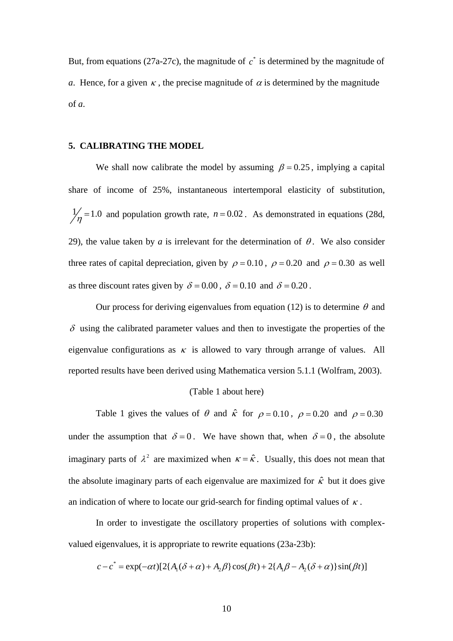But, from equations (27a-27c), the magnitude of  $c^*$  is determined by the magnitude of *a*. Hence, for a given  $\kappa$ , the precise magnitude of  $\alpha$  is determined by the magnitude of *a*.

## **5. CALIBRATING THE MODEL**

We shall now calibrate the model by assuming  $\beta = 0.25$ , implying a capital share of income of 25%, instantaneous intertemporal elasticity of substitution,  $\frac{1}{\eta}$  = 1.0 and population growth rate,  $n = 0.02$ . As demonstrated in equations (28d, 29), the value taken by *a* is irrelevant for the determination of  $\theta$ . We also consider three rates of capital depreciation, given by  $\rho = 0.10$ ,  $\rho = 0.20$  and  $\rho = 0.30$  as well as three discount rates given by  $\delta = 0.00$ ,  $\delta = 0.10$  and  $\delta = 0.20$ .

Our process for deriving eigenvalues from equation (12) is to determine  $\theta$  and  $\delta$  using the calibrated parameter values and then to investigate the properties of the eigenvalue configurations as  $\kappa$  is allowed to vary through arrange of values. All reported results have been derived using Mathematica version 5.1.1 (Wolfram, 2003).

#### (Table 1 about here)

Table 1 gives the values of  $\theta$  and  $\hat{\kappa}$  for  $\rho = 0.10$ ,  $\rho = 0.20$  and  $\rho = 0.30$ under the assumption that  $\delta = 0$ . We have shown that, when  $\delta = 0$ , the absolute imaginary parts of  $\lambda^2$  are maximized when  $\kappa = \hat{\kappa}$ . Usually, this does not mean that the absolute imaginary parts of each eigenvalue are maximized for  $\hat{\kappa}$  but it does give an indication of where to locate our grid-search for finding optimal values of  $\kappa$ .

In order to investigate the oscillatory properties of solutions with complexvalued eigenvalues, it is appropriate to rewrite equations (23a-23b):

$$
c - c^* = \exp(-\alpha t)[2\{A_1(\delta + \alpha) + A_2\beta\}\cos(\beta t) + 2\{A_1\beta - A_2(\delta + \alpha)\}\sin(\beta t)]
$$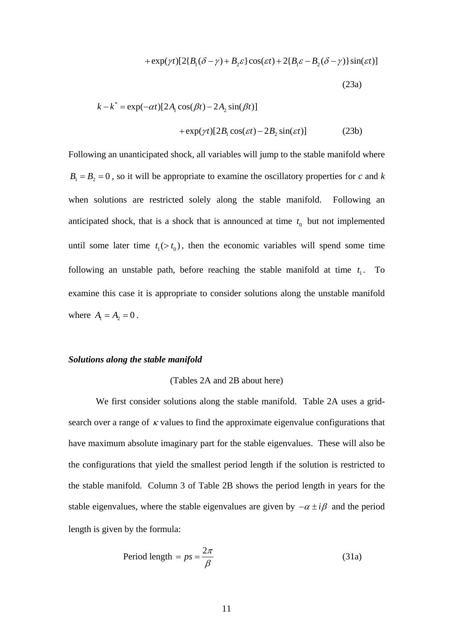+ 
$$
\exp(\gamma t)[2{B_1(\delta-\gamma)+B_2\varepsilon}\cos(\varepsilon t)+2{B_1\varepsilon-B_2(\delta-\gamma)}\sin(\varepsilon t)]
$$
  
(23a)

$$
k - k^* = \exp(-\alpha t)[2A_1 \cos(\beta t) - 2A_2 \sin(\beta t)]
$$
  
+ 
$$
\exp(\gamma t)[2B_1 \cos(\varepsilon t) - 2B_2 \sin(\varepsilon t)]
$$
 (23b)

Following an unanticipated shock, all variables will jump to the stable manifold where  $B_1 = B_2 = 0$ , so it will be appropriate to examine the oscillatory properties for *c* and *k* when solutions are restricted solely along the stable manifold. Following an anticipated shock, that is a shock that is announced at time  $t_0$  but not implemented until some later time  $t_1$ ( $>t_0$ ), then the economic variables will spend some time following an unstable path, before reaching the stable manifold at time  $t_1$ . To examine this case it is appropriate to consider solutions along the unstable manifold where  $A_1 = A_2 = 0$ .

#### *Solutions along the stable manifold*

### (Tables 2A and 2B about here)

We first consider solutions along the stable manifold. Table 2A uses a gridsearch over a range of  $\kappa$  values to find the approximate eigenvalue configurations that have maximum absolute imaginary part for the stable eigenvalues. These will also be the configurations that yield the smallest period length if the solution is restricted to the stable manifold. Column 3 of Table 2B shows the period length in years for the stable eigenvalues, where the stable eigenvalues are given by  $-\alpha \pm i\beta$  and the period length is given by the formula:

$$
Period length = ps = \frac{2\pi}{\beta}
$$
\n(31a)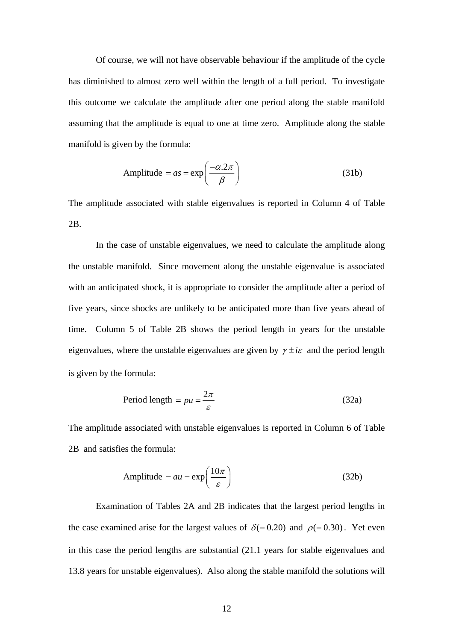Of course, we will not have observable behaviour if the amplitude of the cycle has diminished to almost zero well within the length of a full period. To investigate this outcome we calculate the amplitude after one period along the stable manifold assuming that the amplitude is equal to one at time zero. Amplitude along the stable manifold is given by the formula:

Amplitude = 
$$
as = \exp\left(\frac{-\alpha.2\pi}{\beta}\right)
$$
 (31b)

The amplitude associated with stable eigenvalues is reported in Column 4 of Table 2B.

In the case of unstable eigenvalues, we need to calculate the amplitude along the unstable manifold. Since movement along the unstable eigenvalue is associated with an anticipated shock, it is appropriate to consider the amplitude after a period of five years, since shocks are unlikely to be anticipated more than five years ahead of time. Column 5 of Table 2B shows the period length in years for the unstable eigenvalues, where the unstable eigenvalues are given by  $\gamma \pm i\varepsilon$  and the period length is given by the formula:

$$
Period length = pu = \frac{2\pi}{\varepsilon}
$$
\n(32a)

The amplitude associated with unstable eigenvalues is reported in Column 6 of Table 2B and satisfies the formula:

Amplitude = 
$$
au = \exp\left(\frac{10\pi}{\varepsilon}\right)
$$
 (32b)

Examination of Tables 2A and 2B indicates that the largest period lengths in the case examined arise for the largest values of  $\delta (= 0.20)$  and  $\rho (= 0.30)$ . Yet even in this case the period lengths are substantial (21.1 years for stable eigenvalues and 13.8 years for unstable eigenvalues). Also along the stable manifold the solutions will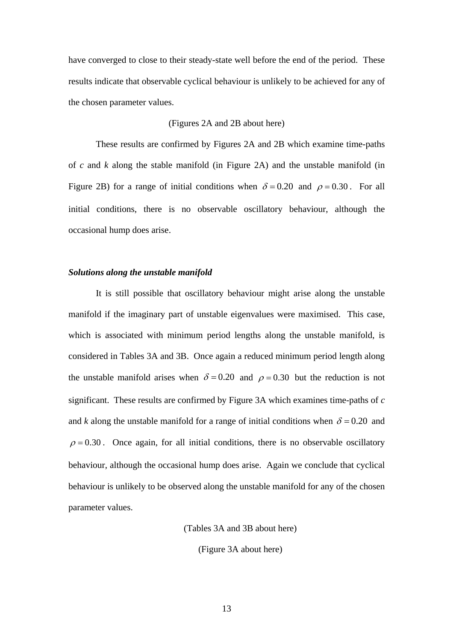have converged to close to their steady-state well before the end of the period. These results indicate that observable cyclical behaviour is unlikely to be achieved for any of the chosen parameter values.

## (Figures 2A and 2B about here)

These results are confirmed by Figures 2A and 2B which examine time-paths of *c* and *k* along the stable manifold (in Figure 2A) and the unstable manifold (in Figure 2B) for a range of initial conditions when  $\delta = 0.20$  and  $\rho = 0.30$ . For all initial conditions, there is no observable oscillatory behaviour, although the occasional hump does arise.

### *Solutions along the unstable manifold*

It is still possible that oscillatory behaviour might arise along the unstable manifold if the imaginary part of unstable eigenvalues were maximised. This case, which is associated with minimum period lengths along the unstable manifold, is considered in Tables 3A and 3B. Once again a reduced minimum period length along the unstable manifold arises when  $\delta = 0.20$  and  $\rho = 0.30$  but the reduction is not significant. These results are confirmed by Figure 3A which examines time-paths of *c* and *k* along the unstable manifold for a range of initial conditions when  $\delta = 0.20$  and  $\rho = 0.30$ . Once again, for all initial conditions, there is no observable oscillatory behaviour, although the occasional hump does arise. Again we conclude that cyclical behaviour is unlikely to be observed along the unstable manifold for any of the chosen parameter values.

(Tables 3A and 3B about here)

(Figure 3A about here)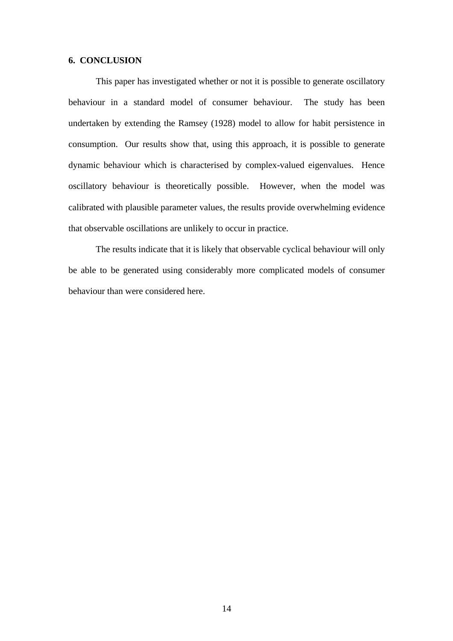## **6. CONCLUSION**

This paper has investigated whether or not it is possible to generate oscillatory behaviour in a standard model of consumer behaviour. The study has been undertaken by extending the Ramsey (1928) model to allow for habit persistence in consumption. Our results show that, using this approach, it is possible to generate dynamic behaviour which is characterised by complex-valued eigenvalues. Hence oscillatory behaviour is theoretically possible. However, when the model was calibrated with plausible parameter values, the results provide overwhelming evidence that observable oscillations are unlikely to occur in practice.

The results indicate that it is likely that observable cyclical behaviour will only be able to be generated using considerably more complicated models of consumer behaviour than were considered here.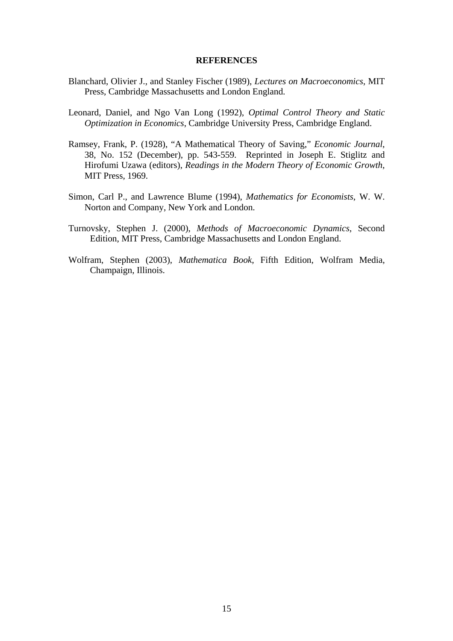#### **REFERENCES**

- Blanchard, Olivier J., and Stanley Fischer (1989), *Lectures on Macroeconomics*, MIT Press, Cambridge Massachusetts and London England.
- Leonard, Daniel, and Ngo Van Long (1992), *Optimal Control Theory and Static Optimization in Economics*, Cambridge University Press, Cambridge England.
- Ramsey, Frank, P. (1928), "A Mathematical Theory of Saving," *Economic Journal*, 38, No. 152 (December), pp. 543-559. Reprinted in Joseph E. Stiglitz and Hirofumi Uzawa (editors), *Readings in the Modern Theory of Economic Growth*, MIT Press, 1969.
- Simon, Carl P., and Lawrence Blume (1994), *Mathematics for Economists*, W. W. Norton and Company, New York and London.
- Turnovsky, Stephen J. (2000), *Methods of Macroeconomic Dynamics*, Second Edition, MIT Press, Cambridge Massachusetts and London England.
- Wolfram, Stephen (2003), *Mathematica Book*, Fifth Edition, Wolfram Media, Champaign, Illinois.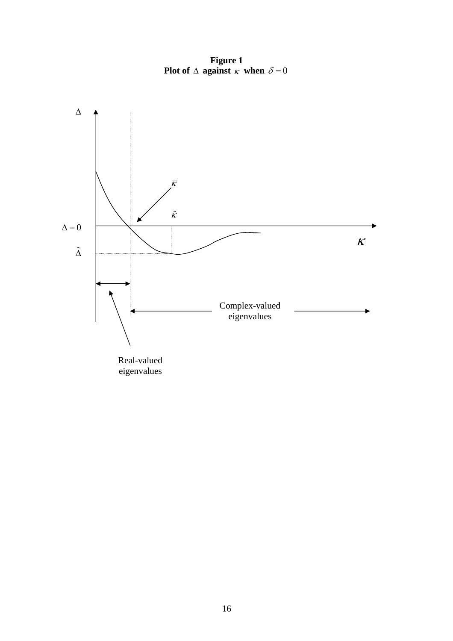**Figure 1 Plot of**  $\Delta$  against  $\kappa$  when  $\delta = 0$ 

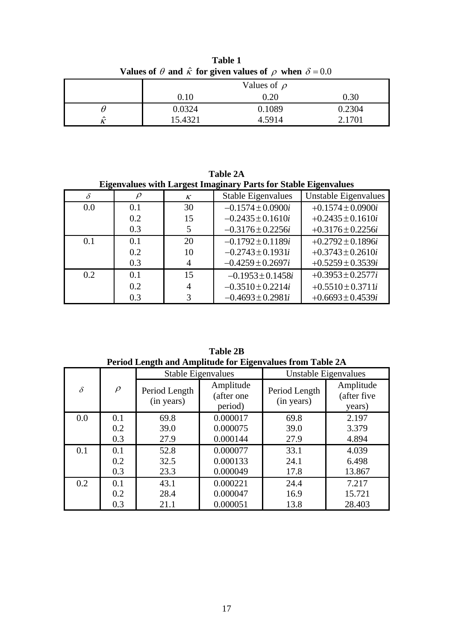| <b>values of <math>\sigma</math> and k for given values of <math>\rho</math> when <math>\sigma = 0.0</math></b> |                  |        |        |  |
|-----------------------------------------------------------------------------------------------------------------|------------------|--------|--------|--|
|                                                                                                                 | Values of $\rho$ |        |        |  |
|                                                                                                                 | 0.10             | 0.20   | 0.30   |  |
|                                                                                                                 | 0.0324           | 0.1089 | 0.2304 |  |
| ^                                                                                                               | 15.4321          | 4.5914 | 2.1701 |  |

**Table 1 Values of**  $\theta$  and  $\hat{\kappa}$  for given values of  $\rho$  when  $\delta = 0.0$ 

**Table 2A Eigenvalues with Largest Imaginary Parts for Stable Eigenvalues**

| Eigenvalues with Eargest Innaginaly I all stul blane Eigenvalues |     |                |                           |                       |
|------------------------------------------------------------------|-----|----------------|---------------------------|-----------------------|
| δ                                                                |     | $\kappa$       | <b>Stable Eigenvalues</b> | Unstable Eigenvalues  |
| 0.0                                                              | 0.1 | 30             | $-0.1574 \pm 0.0900i$     | $+0.1574 \pm 0.0900i$ |
|                                                                  | 0.2 | 15             | $-0.2435 \pm 0.1610i$     | $+0.2435 \pm 0.1610i$ |
|                                                                  | 0.3 | 5              | $-0.3176 \pm 0.2256i$     | $+0.3176 \pm 0.2256i$ |
| 0.1                                                              | 0.1 | 20             | $-0.1792 \pm 0.1189i$     | $+0.2792 \pm 0.1896i$ |
|                                                                  | 0.2 | 10             | $-0.2743 \pm 0.1931i$     | $+0.3743 \pm 0.2610i$ |
|                                                                  | 0.3 | 4              | $-0.4259 \pm 0.2697i$     | $+0.5259 \pm 0.3539i$ |
| 0.2                                                              | 0.1 | 15             | $-0.1953 \pm 0.1458i$     | $+0.3953 \pm 0.2577i$ |
|                                                                  | 0.2 | $\overline{4}$ | $-0.3510 \pm 0.2214i$     | $+0.5510 \pm 0.3711i$ |
|                                                                  | 0.3 | 3              | $-0.4693 \pm 0.2981i$     | $+0.6693 \pm 0.4539i$ |

**Table 2B Period Length and Amplitude for Eigenvalues from Table 2A**

|          |        | <b>Stable Eigenvalues</b>   |                                    | Unstable Eigenvalues        |                                    |
|----------|--------|-----------------------------|------------------------------------|-----------------------------|------------------------------------|
| $\delta$ | $\rho$ | Period Length<br>(in years) | Amplitude<br>(after one<br>period) | Period Length<br>(in years) | Amplitude<br>(after five<br>years) |
| 0.0      | 0.1    | 69.8                        | 0.000017                           | 69.8                        | 2.197                              |
|          | 0.2    | 39.0                        | 0.000075                           | 39.0                        | 3.379                              |
|          | 0.3    | 27.9                        | 0.000144                           | 27.9                        | 4.894                              |
| 0.1      | 0.1    | 52.8                        | 0.000077                           | 33.1                        | 4.039                              |
|          | 0.2    | 32.5                        | 0.000133                           | 24.1                        | 6.498                              |
|          | 0.3    | 23.3                        | 0.000049                           | 17.8                        | 13.867                             |
| 0.2      | 0.1    | 43.1                        | 0.000221                           | 24.4                        | 7.217                              |
|          | 0.2    | 28.4                        | 0.000047                           | 16.9                        | 15.721                             |
|          | 0.3    | 21.1                        | 0.000051                           | 13.8                        | 28.403                             |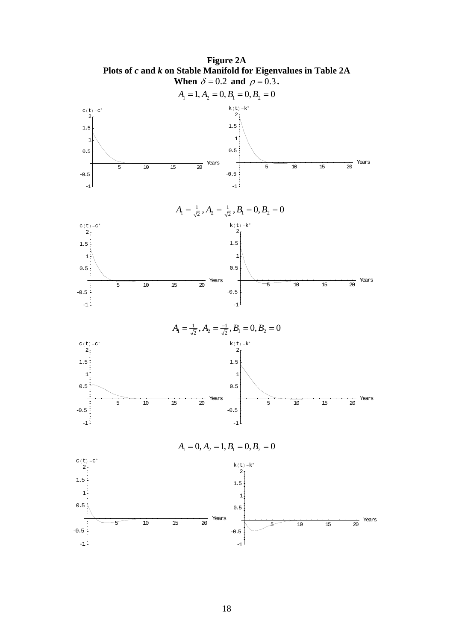

18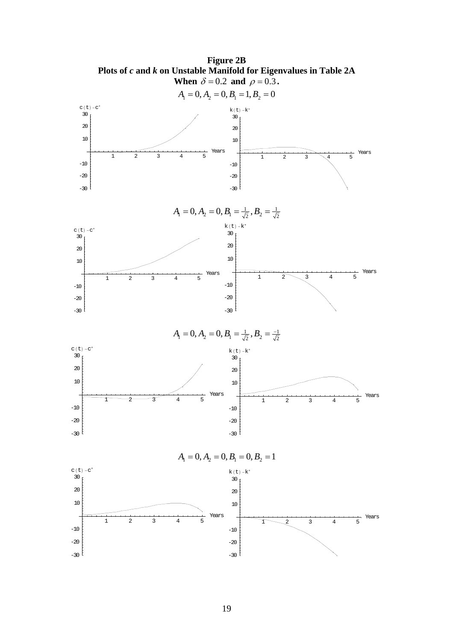

**Figure 2B**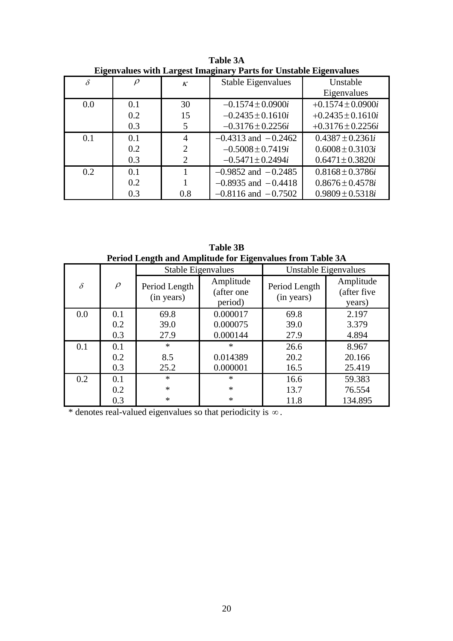| Elgenvalues with Eargest Hilaginal y Farts for Unstable Eigenvalues |     |                |                           |                       |
|---------------------------------------------------------------------|-----|----------------|---------------------------|-----------------------|
| $\delta$                                                            |     | $\kappa$       | <b>Stable Eigenvalues</b> | Unstable              |
|                                                                     |     |                |                           | Eigenvalues           |
| 0.0                                                                 | 0.1 | 30             | $-0.1574 \pm 0.0900i$     | $+0.1574 \pm 0.0900i$ |
|                                                                     | 0.2 | 15             | $-0.2435 \pm 0.1610i$     | $+0.2435 \pm 0.1610i$ |
|                                                                     | 0.3 | 5              | $-0.3176 \pm 0.2256i$     | $+0.3176 \pm 0.2256i$ |
| 0.1                                                                 | 0.1 | 4              | $-0.4313$ and $-0.2462$   | $0.4387 \pm 0.2361i$  |
|                                                                     | 0.2 | $\overline{2}$ | $-0.5008 \pm 0.7419i$     | $0.6008 \pm 0.3103i$  |
|                                                                     | 0.3 | 2              | $-0.5471 \pm 0.2494i$     | $0.6471 \pm 0.3820i$  |
| 0.2                                                                 | 0.1 |                | $-0.9852$ and $-0.2485$   | $0.8168 \pm 0.3786i$  |
|                                                                     | 0.2 |                | $-0.8935$ and $-0.4418$   | $0.8676 \pm 0.4578i$  |
|                                                                     | 0.3 | 0.8            | $-0.8116$ and $-0.7502$   | $0.9809 \pm 0.5318i$  |

**Table 3A Eigenvalues with Largest Imaginary Parts for Unstable Eigenvalues**

**Table 3B Period Length and Amplitude for Eigenvalues from Table 3A**

|          |        | <b>Stable Eigenvalues</b>   |                                    | Unstable Eigenvalues        |                                    |
|----------|--------|-----------------------------|------------------------------------|-----------------------------|------------------------------------|
| $\delta$ | $\rho$ | Period Length<br>(in years) | Amplitude<br>(after one<br>period) | Period Length<br>(in years) | Amplitude<br>(after five<br>years) |
| 0.0      | 0.1    | 69.8                        | 0.000017                           | 69.8                        | 2.197                              |
|          | 0.2    | 39.0                        | 0.000075                           | 39.0                        | 3.379                              |
|          | 0.3    | 27.9                        | 0.000144                           | 27.9                        | 4.894                              |
| 0.1      | 0.1    | $\ast$                      | $\ast$                             | 26.6                        | 8.967                              |
|          | 0.2    | 8.5                         | 0.014389                           | 20.2                        | 20.166                             |
|          | 0.3    | 25.2                        | 0.000001                           | 16.5                        | 25.419                             |
| 0.2      | 0.1    | $\ast$                      | $\ast$                             | 16.6                        | 59.383                             |
|          | 0.2    | $\ast$                      | $\ast$                             | 13.7                        | 76.554                             |
|          | 0.3    | $\ast$                      | $\ast$                             | 11.8                        | 134.895                            |

\* denotes real-valued eigenvalues so that periodicity is ∞ .